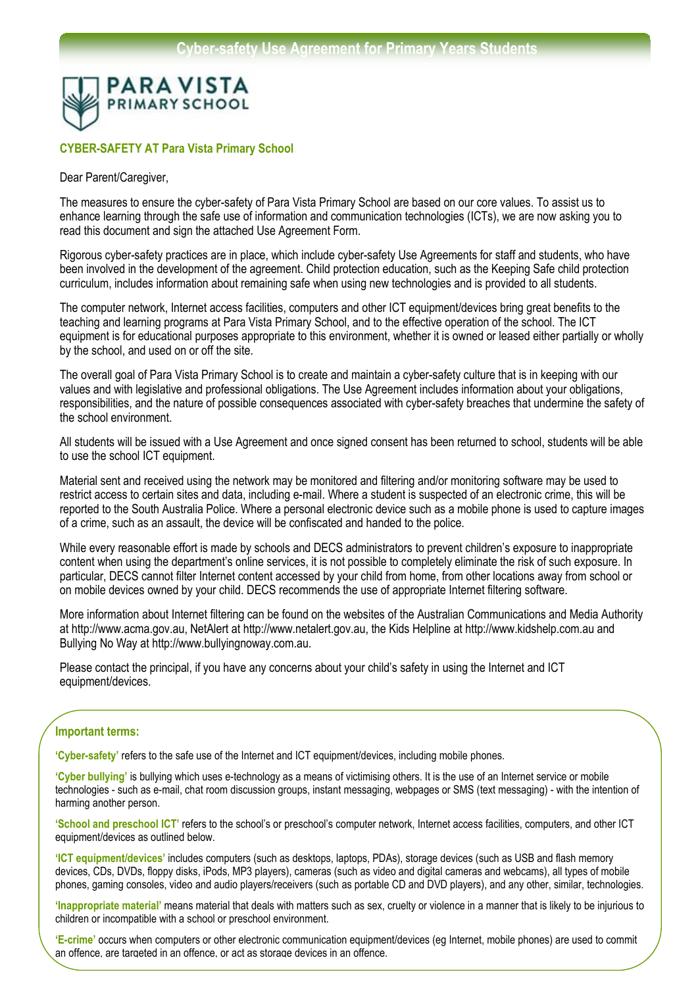

## **CYBER-SAFETY AT Para Vista Primary School**

#### Dear Parent/Caregiver,

The measures to ensure the cyber-safety of Para Vista Primary School are based on our core values. To assist us to enhance learning through the safe use of information and communication technologies (ICTs), we are now asking you to read this document and sign the attached Use Agreement Form.

Rigorous cyber-safety practices are in place, which include cyber-safety Use Agreements for staff and students, who have been involved in the development of the agreement. Child protection education, such as the Keeping Safe child protection curriculum, includes information about remaining safe when using new technologies and is provided to all students.

The computer network, Internet access facilities, computers and other ICT equipment/devices bring great benefits to the teaching and learning programs at Para Vista Primary School, and to the effective operation of the school. The ICT equipment is for educational purposes appropriate to this environment, whether it is owned or leased either partially or wholly by the school, and used on or off the site.

The overall goal of Para Vista Primary School is to create and maintain a cyber-safety culture that is in keeping with our values and with legislative and professional obligations. The Use Agreement includes information about your obligations, responsibilities, and the nature of possible consequences associated with cyber-safety breaches that undermine the safety of the school environment.

All students will be issued with a Use Agreement and once signed consent has been returned to school, students will be able to use the school ICT equipment.

Material sent and received using the network may be monitored and filtering and/or monitoring software may be used to restrict access to certain sites and data, including e-mail. Where a student is suspected of an electronic crime, this will be reported to the South Australia Police. Where a personal electronic device such as a mobile phone is used to capture images of a crime, such as an assault, the device will be confiscated and handed to the police.

While every reasonable effort is made by schools and DECS administrators to prevent children's exposure to inappropriate content when using the department's online services, it is not possible to completely eliminate the risk of such exposure. In particular, DECS cannot filter Internet content accessed by your child from home, from other locations away from school or on mobile devices owned by your child. DECS recommends the use of appropriate Internet filtering software.

More information about Internet filtering can be found on the websites of the Australian Communications and Media Authority at http://www.acma.gov.au, NetAlert at http://www.netalert.gov.au, the Kids Helpline at http://www.kidshelp.com.au and Bullying No Way at http://www.bullyingnoway.com.au.

Please contact the principal, if you have any concerns about your child's safety in using the Internet and ICT equipment/devices.

## **Important terms:**

**'Cyber-safety'** refers to the safe use of the Internet and ICT equipment/devices, including mobile phones.

**'Cyber bullying'** is bullying which uses e-technology as a means of victimising others. It is the use of an Internet service or mobile technologies - such as e-mail, chat room discussion groups, instant messaging, webpages or SMS (text messaging) - with the intention of harming another person.

**'School and preschool ICT'** refers to the school's or preschool's computer network, Internet access facilities, computers, and other ICT equipment/devices as outlined below.

**'ICT equipment/devices'** includes computers (such as desktops, laptops, PDAs), storage devices (such as USB and flash memory devices, CDs, DVDs, floppy disks, iPods, MP3 players), cameras (such as video and digital cameras and webcams), all types of mobile phones, gaming consoles, video and audio players/receivers (such as portable CD and DVD players), and any other, similar, technologies.

**'Inappropriate material'** means material that deals with matters such as sex, cruelty or violence in a manner that is likely to be injurious to children or incompatible with a school or preschool environment.

'E-crime' occurs when computers or other electronic communication equipment/devices (eg Internet, mobile phones) are used to commit an offence, are targeted in an offence, or act as storage devices in an offence.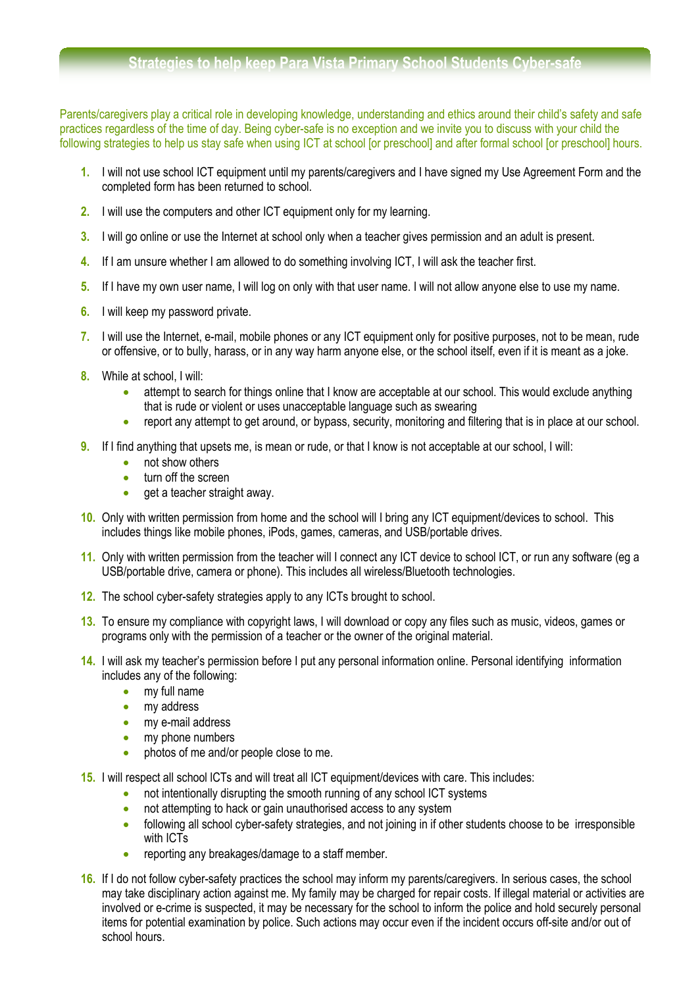# **Strategies to help keep Para Vista Primary School Students Cyber-safe**

Parents/caregivers play a critical role in developing knowledge, understanding and ethics around their child's safety and safe practices regardless of the time of day. Being cyber-safe is no exception and we invite you to discuss with your child the following strategies to help us stay safe when using ICT at school [or preschool] and after formal school [or preschool] hours.

- **1.** I will not use school ICT equipment until my parents/caregivers and I have signed my Use Agreement Form and the completed form has been returned to school.
- **2.** I will use the computers and other ICT equipment only for my learning.
- **3.** I will go online or use the Internet at school only when a teacher gives permission and an adult is present.
- **4.** If I am unsure whether I am allowed to do something involving ICT, I will ask the teacher first.
- **5.** If I have my own user name, I will log on only with that user name. I will not allow anyone else to use my name.
- **6.** I will keep my password private.
- **7.** I will use the Internet, e-mail, mobile phones or any ICT equipment only for positive purposes, not to be mean, rude or offensive, or to bully, harass, or in any way harm anyone else, or the school itself, even if it is meant as a joke.
- **8.** While at school, I will:
	- attempt to search for things online that I know are acceptable at our school. This would exclude anything that is rude or violent or uses unacceptable language such as swearing
	- report any attempt to get around, or bypass, security, monitoring and filtering that is in place at our school.
- **9.** If I find anything that upsets me, is mean or rude, or that I know is not acceptable at our school, I will:
	- not show others
	- turn off the screen
	- get a teacher straight away.
- **10.** Only with written permission from home and the school will I bring any ICT equipment/devices to school. This includes things like mobile phones, iPods, games, cameras, and USB/portable drives.
- **11.** Only with written permission from the teacher will I connect any ICT device to school ICT, or run any software (eg a USB/portable drive, camera or phone). This includes all wireless/Bluetooth technologies.
- **12.** The school cyber-safety strategies apply to any ICTs brought to school.
- **13.** To ensure my compliance with copyright laws, I will download or copy any files such as music, videos, games or programs only with the permission of a teacher or the owner of the original material.
- **14.** I will ask my teacher's permission before I put any personal information online. Personal identifying information includes any of the following:
	- my full name
	- my address
	- my e-mail address
	- my phone numbers
	- photos of me and/or people close to me.
- **15.** I will respect all school lCTs and will treat all ICT equipment/devices with care. This includes:
	- not intentionally disrupting the smooth running of any school ICT systems
	- not attempting to hack or gain unauthorised access to any system
	- following all school cyber-safety strategies, and not joining in if other students choose to be irresponsible with ICT<sub>s</sub>
	- reporting any breakages/damage to a staff member.
- **16.** If I do not follow cyber-safety practices the school may inform my parents/caregivers. In serious cases, the school may take disciplinary action against me. My family may be charged for repair costs. If illegal material or activities are involved or e-crime is suspected, it may be necessary for the school to inform the police and hold securely personal items for potential examination by police. Such actions may occur even if the incident occurs off-site and/or out of school hours.